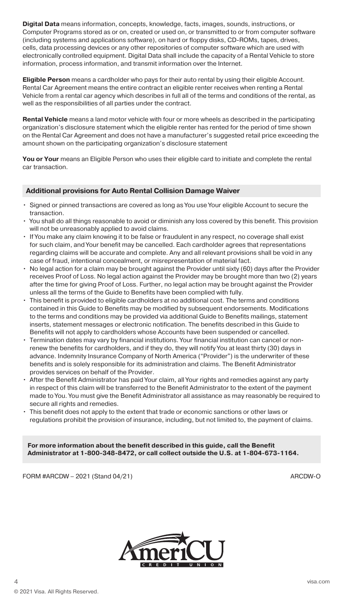**Digital Data** means information, concepts, knowledge, facts, images, sounds, instructions, or Computer Programs stored as or on, created or used on, or transmitted to or from computer software (including systems and applications software), on hard or floppy disks, CD-ROMs, tapes, drives, cells, data processing devices or any other repositories of computer software which are used with electronically controlled equipment. Digital Data shall include the capacity of a Rental Vehicle to store information, process information, and transmit information over the Internet.

**Eligible Person** means a cardholder who pays for their auto rental by using their eligible Account. Rental Car Agreement means the entire contract an eligible renter receives when renting a Rental Vehicle from a rental car agency which describes in full all of the terms and conditions of the rental, as well as the responsibilities of all parties under the contract.

**Rental Vehicle** means a land motor vehicle with four or more wheels as described in the participating organization's disclosure statement which the eligible renter has rented for the period of time shown on the Rental Car Agreement and does not have a manufacturer's suggested retail price exceeding the amount shown on the participating organization's disclosure statement

**You or Your** means an Eligible Person who uses their eligible card to initiate and complete the rental car transaction.

# **Additional provisions for Auto Rental Collision Damage Waiver**

- Signed or pinned transactions are covered as long as You use Your eligible Account to secure the transaction.
- You shall do all things reasonable to avoid or diminish any loss covered by this benefit. This provision will not be unreasonably applied to avoid claims.
- If You make any claim knowing it to be false or fraudulent in any respect, no coverage shall exist for such claim, and Your benefit may be cancelled. Each cardholder agrees that representations regarding claims will be accurate and complete. Any and all relevant provisions shall be void in any case of fraud, intentional concealment, or misrepresentation of material fact.
- No legal action for a claim may be brought against the Provider until sixty (60) days after the Provider receives Proof of Loss. No legal action against the Provider may be brought more than two (2) years after the time for giving Proof of Loss. Further, no legal action may be brought against the Provider unless all the terms of the Guide to Benefits have been complied with fully.
- This benefit is provided to eligible cardholders at no additional cost. The terms and conditions contained in this Guide to Benefits may be modified by subsequent endorsements. Modifications to the terms and conditions may be provided via additional Guide to Benefits mailings, statement inserts, statement messages or electronic notification. The benefits described in this Guide to Benefits will not apply to cardholders whose Accounts have been suspended or cancelled.
- Termination dates may vary by financial institutions. Your financial institution can cancel or nonrenew the benefits for cardholders, and if they do, they will notify You at least thirty (30) days in advance. Indemnity Insurance Company of North America ("Provider") is the underwriter of these benefits and is solely responsible for its administration and claims. The Benefit Administrator provides services on behalf of the Provider.
- After the Benefit Administrator has paid Your claim, all Your rights and remedies against any party in respect of this claim will be transferred to the Benefit Administrator to the extent of the payment made to You. You must give the Benefit Administrator all assistance as may reasonably be required to secure all rights and remedies.
- This benefit does not apply to the extent that trade or economic sanctions or other laws or regulations prohibit the provision of insurance, including, but not limited to, the payment of claims.

**For more information about the benefit described in this guide, call the Benefit Administrator at 1-800-348-8472, or call collect outside the U.S. at 1-804-673-1164.**

FORM #ARCDW – 2021 (Stand 04/21) ARCDW-O

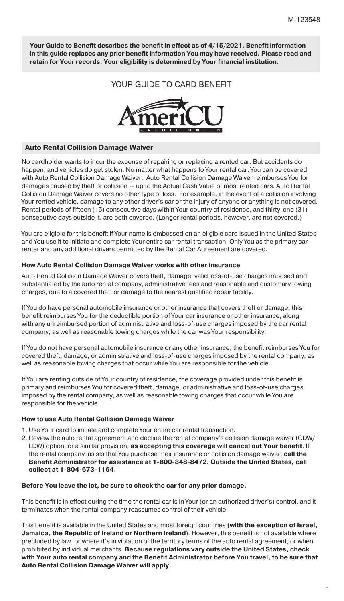**Your Guide to Benefit describes the benefit in effect as of 4/15/2021. Benefit information in this guide replaces any prior benefit information You may have received. Please read and retain for Your records. Your eligibility is determined by Your financial institution.**

# YOUR GUIDE TO CARD BENEFIT



#### **Auto Rental Collision Damage Waiver**

No cardholder wants to incur the expense of repairing or replacing a rented car. But accidents do happen, and vehicles do get stolen. No matter what happens to Your rental car, You can be covered with Auto Rental Collision Damage Waiver. Auto Rental Collision Damage Waiver reimburses You for damages caused by theft or collision -- up to the Actual Cash Value of most rented cars. Auto Rental Collision Damage Waiver covers no other type of loss. For example, in the event of a collision involving Your rented vehicle, damage to any other driver's car or the injury of anyone or anything is not covered. Rental periods of fifteen (15) consecutive days within Your country of residence, and thirty-one (31) consecutive days outside it, are both covered. (Longer rental periods, however, are not covered.)

You are eligible for this benefit if Your name is embossed on an eligible card issued in the United States and You use it to initiate and complete Your entire car rental transaction. Only You as the primary car renter and any additional drivers permitted by the Rental Car Agreement are covered.

#### **How Auto Rental Collision Damage Waiver works with other insurance**

Auto Rental Collision Damage Waiver covers theft, damage, valid loss-of-use charges imposed and substantiated by the auto rental company, administrative fees and reasonable and customary towing charges, due to a covered theft or damage to the nearest qualified repair facility.

If You do have personal automobile insurance or other insurance that covers theft or damage, this benefit reimburses You for the deductible portion of Your car insurance or other insurance, along with any unreimbursed portion of administrative and loss-of-use charges imposed by the car rental company, as well as reasonable towing charges while the car was Your responsibility.

If You do not have personal automobile insurance or any other insurance, the benefit reimburses You for covered theft, damage, or administrative and loss-of-use charges imposed by the rental company, as well as reasonable towing charges that occur while You are responsible for the vehicle.

If You are renting outside of Your country of residence, the coverage provided under this benefit is primary and reimburses You for covered theft, damage, or administrative and loss-of-use charges imposed by the rental company, as well as reasonable towing charges that occur while You are responsible for the vehicle.

#### **How to use Auto Rental Collision Damage Waiver**

- 1. Use Your card to initiate and complete Your entire car rental transaction.
- 2. Review the auto rental agreement and decline the rental company's collision damage waiver (CDW/ LDW) option, or a similar provision, **as accepting this coverage will cancel out Your benefit**. If the rental company insists that You purchase their insurance or collision damage waiver, **call the Benefit Administrator for assistance at 1-800-348-8472. Outside the United States, call collect at 1-804-673-1164.**

#### **Before You leave the lot, be sure to check the car for any prior damage.**

This benefit is in effect during the time the rental car is in Your (or an authorized driver's) control, and it terminates when the rental company reassumes control of their vehicle.

This benefit is available in the United States and most foreign countries **(with the exception of Israel, Jamaica, the Republic of Ireland or Northern Ireland**). However, this benefit is not available where precluded by law, or where it's in violation of the territory terms of the auto rental agreement, or when prohibited by individual merchants. **Because regulations vary outside the United States, check with Your auto rental company and the Benefit Administrator before You travel, to be sure that Auto Rental Collision Damage Waiver will apply.**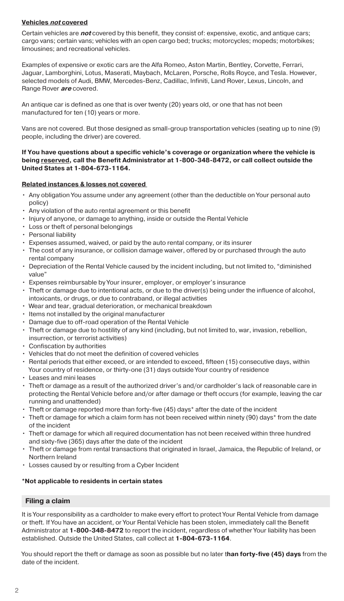## **Vehicles not covered**

Certain vehicles are **not** covered by this benefit, they consist of: expensive, exotic, and antique cars; cargo vans; certain vans; vehicles with an open cargo bed; trucks; motorcycles; mopeds; motorbikes; limousines; and recreational vehicles.

Examples of expensive or exotic cars are the Alfa Romeo, Aston Martin, Bentley, Corvette, Ferrari, Jaguar, Lamborghini, Lotus, Maserati, Maybach, McLaren, Porsche, Rolls Royce, and Tesla. However, selected models of Audi, BMW, Mercedes-Benz, Cadillac, Infiniti, Land Rover, Lexus, Lincoln, and Range Rover **are** covered.

An antique car is defined as one that is over twenty (20) years old, or one that has not been manufactured for ten (10) years or more.

Vans are not covered. But those designed as small-group transportation vehicles (seating up to nine (9) people, including the driver) are covered.

### **If You have questions about a specific vehicle's coverage or organization where the vehicle is being reserved, call the Benefit Administrator at 1-800-348-8472, or call collect outside the United States at 1-804-673-1164.**

### **Related instances & losses not covered**

- Any obligation You assume under any agreement (other than the deductible on Your personal auto policy)
- Any violation of the auto rental agreement or this benefit
- Injury of anyone, or damage to anything, inside or outside the Rental Vehicle
- Loss or theft of personal belongings
- Personal liability
- Expenses assumed, waived, or paid by the auto rental company, or its insurer
- The cost of any insurance, or collision damage waiver, offered by or purchased through the auto rental company
- Depreciation of the Rental Vehicle caused by the incident including, but not limited to, "diminished value"
- Expenses reimbursable by Your insurer, employer, or employer's insurance
- Theft or damage due to intentional acts, or due to the driver(s) being under the influence of alcohol, intoxicants, or drugs, or due to contraband, or illegal activities
- Wear and tear, gradual deterioration, or mechanical breakdown
- Items not installed by the original manufacturer
- Damage due to off-road operation of the Rental Vehicle
- Theft or damage due to hostility of any kind (including, but not limited to, war, invasion, rebellion, insurrection, or terrorist activities)
- Confiscation by authorities
- Vehicles that do not meet the definition of covered vehicles
- Rental periods that either exceed, or are intended to exceed, fifteen (15) consecutive days, within Your country of residence, or thirty-one (31) days outside Your country of residence
- Leases and mini leases
- Theft or damage as a result of the authorized driver's and/or cardholder's lack of reasonable care in protecting the Rental Vehicle before and/or after damage or theft occurs (for example, leaving the car running and unattended)
- Theft or damage reported more than forty-five (45) days\* after the date of the incident
- Theft or damage for which a claim form has not been received within ninety (90) days\* from the date of the incident
- Theft or damage for which all required documentation has not been received within three hundred and sixty-five (365) days after the date of the incident
- Theft or damage from rental transactions that originated in Israel, Jamaica, the Republic of Ireland, or Northern Ireland
- Losses caused by or resulting from a Cyber Incident

# **\*Not applicable to residents in certain states**

# **Filing a claim**

It is Your responsibility as a cardholder to make every effort to protect Your Rental Vehicle from damage or theft. If You have an accident, or Your Rental Vehicle has been stolen, immediately call the Benefit Administrator at **1-800-348-8472** to report the incident, regardless of whether Your liability has been established. Outside the United States, call collect at **1-804-673-1164**.

You should report the theft or damage as soon as possible but no later t**han forty-five (45) days** from the date of the incident.